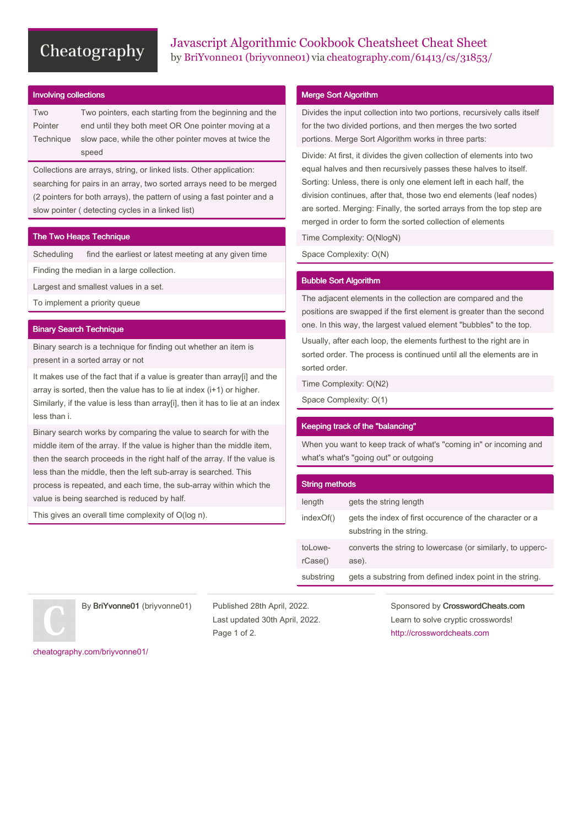# Cheatography

#### Involving collections

| Two       | Two pointers, each starting from the beginning and the |  |  |
|-----------|--------------------------------------------------------|--|--|
| Pointer   | end until they both meet OR One pointer moving at a    |  |  |
| Technique | slow pace, while the other pointer moves at twice the  |  |  |
|           | speed                                                  |  |  |

Collections are arrays, string, or linked lists. Other application: searching for pairs in an array, two sorted arrays need to be merged (2 pointers for both arrays), the pattern of using a fast pointer and a slow pointer ( detecting cycles in a linked list)

### The Two Heaps Technique

Scheduling find the earliest or latest meeting at any given time Finding the median in a large collection.

Largest and smallest values in a set.

To implement a priority queue

#### Binary Search Technique

Binary search is a technique for finding out whether an item is present in a sorted array or not

It makes use of the fact that if a value is greater than array[i] and the array is sorted, then the value has to lie at index (i+1) or higher. Similarly, if the value is less than array[i], then it has to lie at an index less than i.

Binary search works by comparing the value to search for with the middle item of the array. If the value is higher than the middle item, then the search proceeds in the right half of the array. If the value is less than the middle, then the left sub-array is searched. This process is repeated, and each time, the sub-array within which the value is being searched is reduced by half.

This gives an overall time complexity of O(log n).

### Merge Sort Algorithm

Divides the input collection into two portions, recursively calls itself for the two divided portions, and then merges the two sorted portions. Merge Sort Algorithm works in three parts:

Divide: At first, it divides the given collection of elements into two equal halves and then recursively passes these halves to itself. Sorting: Unless, there is only one element left in each half, the division continues, after that, those two end elements (leaf nodes) are sorted. Merging: Finally, the sorted arrays from the top step are merged in order to form the sorted collection of elements

Time Complexity: O(NlogN)

Space Complexity: O(N)

#### Bubble Sort Algorithm

The adjacent elements in the collection are compared and the positions are swapped if the first element is greater than the second one. In this way, the largest valued element "bubbles" to the top.

Usually, after each loop, the elements furthest to the right are in sorted order. The process is continued until all the elements are in sorted order.

Time Complexity: O(N2)

Space Complexity: O(1)

## Keeping track of the "balancing"

When you want to keep track of what's "coming in" or incoming and what's what's "going out" or outgoing

| <b>String methods</b> |                                                                                     |  |
|-----------------------|-------------------------------------------------------------------------------------|--|
| length                | gets the string length                                                              |  |
| indexOf()             | gets the index of first occurence of the character or a<br>substring in the string. |  |
| tol owe-<br>rCase()   | converts the string to lowercase (or similarly, to upperc-<br>ase).                 |  |
| substring             | gets a substring from defined index point in the string.                            |  |
|                       |                                                                                     |  |

By BriYvonne01 (briyvonne01)

Published 28th April, 2022. Last updated 30th April, 2022. Page 1 of 2.

Sponsored by CrosswordCheats.com Learn to solve cryptic crosswords! <http://crosswordcheats.com>

[cheatography.com/briyvonne01/](http://www.cheatography.com/briyvonne01/)